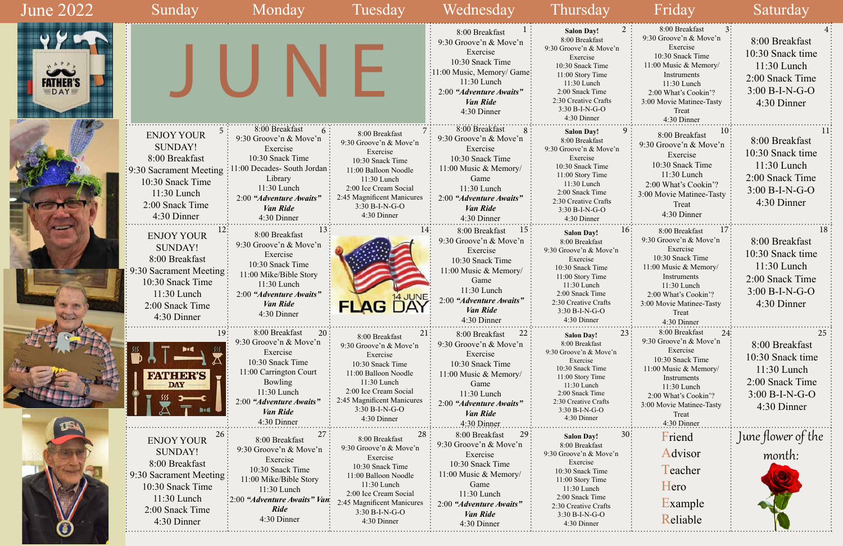| June 2022                     | Sunday                                                                                                                                                             | Monday                                                                                                                                                                                                      | Tuesday                                                                                                                                                                                                         | Wednesday                                                                                                                                                                                    | Thursday                                                                                                                                                                                                              | Friday                                                                                                                                                                                                             | Saturday                                                                                                  |
|-------------------------------|--------------------------------------------------------------------------------------------------------------------------------------------------------------------|-------------------------------------------------------------------------------------------------------------------------------------------------------------------------------------------------------------|-----------------------------------------------------------------------------------------------------------------------------------------------------------------------------------------------------------------|----------------------------------------------------------------------------------------------------------------------------------------------------------------------------------------------|-----------------------------------------------------------------------------------------------------------------------------------------------------------------------------------------------------------------------|--------------------------------------------------------------------------------------------------------------------------------------------------------------------------------------------------------------------|-----------------------------------------------------------------------------------------------------------|
| <b>FATHER'S</b><br><b>DAY</b> |                                                                                                                                                                    |                                                                                                                                                                                                             |                                                                                                                                                                                                                 | 8:00 Breakfast<br>9:30 Groove'n & Move'n<br>Exercise<br>10:30 Snack Time<br>:11:00 Music, Memory/ Game:<br>$11:30$ Lunch<br>2:00 "Adventure Awaits"<br><b>Van Ride</b><br>4:30 Dinner        | 2:<br><b>Salon Day!</b><br>8:00 Breakfast<br>9:30 Groove'n & Move'n<br>Exercise<br>10:30 Snack Time<br>11:00 Story Time<br>11:30 Lunch<br>2:00 Snack Time<br>2:30 Creative Crafts<br>3:30 B-I-N-G-O<br>4:30 Dinner    | 8:00 Breakfast<br>9:30 Groove'n & Move'n<br>Exercise<br>10:30 Snack Time<br>11:00 Music & Memory/<br>Instruments<br>11:30 Lunch<br>2:00 What's Cookin'?<br>3:00 Movie Matinee-Tasty<br>Treat<br>4:30 Dinner        | 8:00 Breakfast<br>10:30 Snack time<br>$11:30$ Lunch<br>2:00 Snack Time<br>$3:00 B-I-N-G-O$<br>4:30 Dinner |
|                               | <b>ENJOY YOUR</b><br><b>SUNDAY!</b><br>8:00 Breakfast<br>$\frac{1}{2}$ 9:30 Sacrament Meeting<br>10:30 Snack Time<br>11:30 Lunch<br>2:00 Snack Time<br>4:30 Dinner | 8:00 Breakfast<br>$6 \cdot$<br>9:30 Groove'n & Move'n<br>Exercise<br>10:30 Snack Time<br>11:00 Decades- South Jordan<br>Library<br>11:30 Lunch<br>2:00 "Adventure Awaits"<br><b>Van Ride</b><br>4:30 Dinner | 8:00 Breakfast<br>9:30 Groove'n & Move'n<br>Exercise<br>10:30 Snack Time<br>11:00 Balloon Noodle<br>11:30 Lunch<br>2:00 Ice Cream Social<br>2:45 Magnificent Manicures<br>3:30 B-I-N-G-O<br>4:30 Dinner         | 8:00 Breakfast<br>9:30 Groove'n & Move'n<br>Exercise<br>10:30 Snack Time<br>11:00 Music & Memory/<br>Game<br>11:30 Lunch<br>2:00 "Adventure Awaits"<br><b>Van Ride</b><br>4:30 Dinner        | <b>Salon Day!</b><br>8:00 Breakfast<br>9:30 Groove'n & Move'n<br>Exercise<br>10:30 Snack Time<br>11:00 Story Time<br>11:30 Lunch<br>2:00 Snack Time<br>2:30 Creative Crafts<br>3:30 B-I-N-G-O<br>4:30 Dinner          | 8:00 Breakfast<br>9:30 Groove'n & Move'n<br>Exercise<br>10:30 Snack Time<br>11:30 Lunch<br>2:00 What's Cookin'?<br>3:00 Movie Matinee-Tasty<br>Treat<br>4:30 Dinner                                                | 8:00 Breakfast<br>10:30 Snack time<br>$11:30$ Lunch<br>2:00 Snack Time<br>$3:00 B-I-N-G-O$<br>4:30 Dinner |
|                               | <b>ENJOY YOUR</b><br><b>SUNDAY!</b><br>8:00 Breakfast<br>9:30 Sacrament Meeting:<br>10:30 Snack Time<br>11:30 Lunch<br>2:00 Snack Time<br>4:30 Dinner              | 8:00 Breakfast<br>9:30 Groove'n & Move'n<br>Exercise<br>10:30 Snack Time<br>11:00 Mike/Bible Story<br>11:30 Lunch<br>2:00 "Adventure Awaits"<br><b>Van Ride</b><br>4:30 Dinner                              | <b>FLAG</b>                                                                                                                                                                                                     | 8:00 Breakfast<br>$15 \cdot$<br>9:30 Groove'n & Move'n<br>Exercise<br>10:30 Snack Time<br>11:00 Music & Memory/<br>Game<br>11:30 Lunch<br>2:00 "Adventure Awaits"<br>Van Ride<br>4:30 Dinner | 16:<br><b>Salon Day!</b><br>8:00 Breakfast<br>9:30 Groove'n & Move'n<br>Exercise<br>10:30 Snack Time<br>11:00 Story Time<br>11:30 Lunch<br>2:00 Snack Time<br>2:30 Creative Crafts<br>$3:30 B-I-N-G-O$<br>4:30 Dinner | 8:00 Breakfast<br>9:30 Groove'n & Move'n<br>Exercise<br>10:30 Snack Time<br>11:00 Music & Memory/<br>Instruments<br>11:30 Lunch<br>2:00 What's Cookin'?<br>3:00 Movie Matinee-Tasty<br>Treat<br>4:30 Dinner        | 8:00 Breakfast<br>10:30 Snack time<br>$11:30$ Lunch<br>2:00 Snack Time<br>$3:00 B-I-N-G-O$<br>4:30 Dinner |
|                               | 19:<br><b>FATHER'S</b><br><b>DAY</b>                                                                                                                               | 8:00 Breakfast<br>20:<br>9:30 Groove'n & Move'n<br>Exercise<br>10:30 Snack Time<br>11:00 Carrington Court<br>Bowling<br>11:30 Lunch<br>2:00 "Adventure Awaits"<br><b>Van Ride</b><br>4:30 Dinner            | 21<br>8:00 Breakfast<br>9:30 Groove'n & Move'n<br>Exercise<br>10:30 Snack Time<br>11:00 Balloon Noodle<br>11:30 Lunch<br>2:00 Ice Cream Social<br>2:45 Magnificent Manicures<br>$3:30 B-I-N-G-O$<br>4:30 Dinner | 22<br>8:00 Breakfast<br>9:30 Groove'n & Move'n<br>Exercise<br>10:30 Snack Time<br>11:00 Music & Memory/<br>Game<br>11:30 Lunch<br>2:00 "Adventure Awaits"<br><b>Van Ride</b><br>4:30 Dinner  | 23:<br><b>Salon Day!</b><br>8:00 Breakfast<br>9:30 Groove'n & Move'n<br>Exercise<br>10:30 Snack Time<br>11:00 Story Time<br>11:30 Lunch<br>2:00 Snack Time<br>2:30 Creative Crafts<br>3:30 B-I-N-G-O<br>4:30 Dinner   | 8:00 Breakfast<br>24:<br>9:30 Groove'n & Move'n<br>Exercise<br>10:30 Snack Time<br>11:00 Music & Memory/<br>Instruments<br>11:30 Lunch<br>2:00 What's Cookin'?<br>3:00 Movie Matinee-Tasty<br>Treat<br>4:30 Dinner | 8:00 Breakfast<br>10:30 Snack time<br>$11:30$ Lunch<br>2:00 Snack Time<br>$3:00 B-I-N-G-O$<br>4:30 Dinner |
|                               | 26:<br><b>ENJOY YOUR</b><br><b>SUNDAY!</b><br>8:00 Breakfast<br>9:30 Sacrament Meeting<br>10:30 Snack Time<br>11:30 Lunch<br>2:00 Snack Time<br>4:30 Dinner        | 8:00 Breakfast<br>9:30 Groove'n & Move'n<br>Exercise<br>10:30 Snack Time<br>11:00 Mike/Bible Story<br>11:30 Lunch<br>:2:00 "Adventure Awaits" Van<br><b>Ride</b><br>4:30 Dinner                             | 28<br>8:00 Breakfast<br>9:30 Groove'n & Move'n<br>Exercise<br>10:30 Snack Time<br>11:00 Balloon Noodle<br>11:30 Lunch<br>2:00 Ice Cream Social<br>2:45 Magnificent Manicures<br>3:30 B-I-N-G-O<br>4:30 Dinner   | 8:00 Breakfast<br>29:<br>9:30 Groove'n & Move'n<br>Exercise<br>10:30 Snack Time<br>11:00 Music & Memory/<br>Game<br>11:30 Lunch<br>2:00 "Adventure Awaits"<br>Van Ride<br>4:30 Dinner        | 30:<br><b>Salon Day!</b><br>8:00 Breakfast<br>9:30 Groove'n & Move'n<br>Exercise<br>10:30 Snack Time<br>11:00 Story Time<br>11:30 Lunch<br>2:00 Snack Time<br>2:30 Creative Crafts<br>$3:30 B-I-N-G-O$<br>4:30 Dinner | Friend<br>Advisor<br>Teacher<br>Hero<br>Example<br>Reliable                                                                                                                                                        | June flower of the<br>month:                                                                              |

| 2  | 8:00 Breakfast                                   |  |
|----|--------------------------------------------------|--|
|    | 9:30 Groove'n & Move'n                           |  |
|    | Exercise                                         |  |
|    | 10:30 Snack Time                                 |  |
|    | 11:00 Music & Memory/                            |  |
|    | Instruments                                      |  |
|    | 11:30 Lunch<br>2:00 What's Cookin'?              |  |
|    | 3:00 Movie Matinee-Tasty                         |  |
|    | Treat                                            |  |
|    | 4:30 Dinner                                      |  |
| 9  | 10<br>8:00 Breakfast                             |  |
|    | 9:30 Groove'n & Move'n                           |  |
|    | Exercise                                         |  |
|    | 10:30 Snack Time                                 |  |
|    | 11:30 Lunch                                      |  |
|    | 2:00 What's Cookin'?                             |  |
|    | 3:00 Movie Matinee-Tasty                         |  |
|    | Treat                                            |  |
|    | 4:30 Dinner                                      |  |
| 16 | $\cdots$<br>17<br>8:00 Breakfast                 |  |
|    | 9:30 Groove'n & Move'n                           |  |
|    | Exercise                                         |  |
|    | 10:30 Snack Time                                 |  |
|    | 11:00 Music & Memory/                            |  |
|    | Instruments                                      |  |
|    | 11:30 Lunch                                      |  |
|    | 2:00 What's Cookin'?<br>3:00 Movie Matinee-Tasty |  |
|    | Treat                                            |  |
|    | 4:30 Dinner                                      |  |
| 23 | 8:00 Breakfast<br>24                             |  |
|    | 9:30 Groove'n & Move'n                           |  |
|    | Exercise                                         |  |
|    | 10:30 Snack Time                                 |  |
|    | 11:00 Music & Memory/<br>Instruments             |  |
|    | 11:30 Lunch                                      |  |
|    | 2:00 What's Cookin'?                             |  |
|    | 3:00 Movie Matinee-Tasty                         |  |
|    | Treat                                            |  |
|    | $4:30$ Dinner                                    |  |
| 30 | Friend                                           |  |
|    | Advisor                                          |  |
|    | Teacher                                          |  |
|    | Hero                                             |  |
|    | Example                                          |  |
|    | Reliable                                         |  |
|    |                                                  |  |